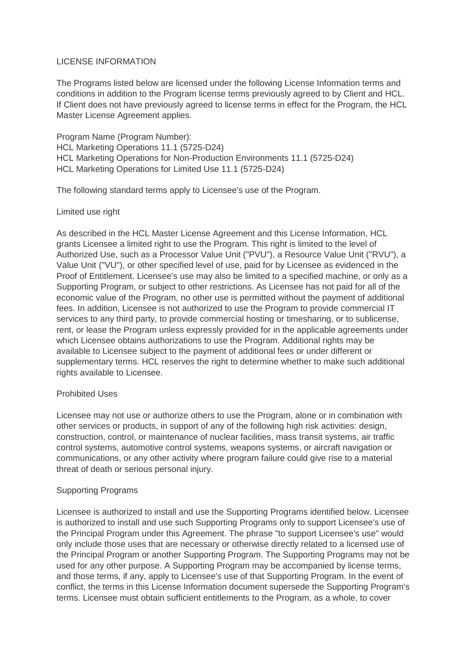### LICENSE INFORMATION

The Programs listed below are licensed under the following License Information terms and conditions in addition to the Program license terms previously agreed to by Client and HCL. If Client does not have previously agreed to license terms in effect for the Program, the HCL Master License Agreement applies.

Program Name (Program Number): HCL Marketing Operations 11.1 (5725-D24) HCL Marketing Operations for Non-Production Environments 11.1 (5725-D24) HCL Marketing Operations for Limited Use 11.1 (5725-D24)

The following standard terms apply to Licensee's use of the Program.

## Limited use right

As described in the HCL Master License Agreement and this License Information, HCL grants Licensee a limited right to use the Program. This right is limited to the level of Authorized Use, such as a Processor Value Unit ("PVU"), a Resource Value Unit ("RVU"), a Value Unit ("VU"), or other specified level of use, paid for by Licensee as evidenced in the Proof of Entitlement. Licensee's use may also be limited to a specified machine, or only as a Supporting Program, or subject to other restrictions. As Licensee has not paid for all of the economic value of the Program, no other use is permitted without the payment of additional fees. In addition, Licensee is not authorized to use the Program to provide commercial IT services to any third party, to provide commercial hosting or timesharing, or to sublicense, rent, or lease the Program unless expressly provided for in the applicable agreements under which Licensee obtains authorizations to use the Program. Additional rights may be available to Licensee subject to the payment of additional fees or under different or supplementary terms. HCL reserves the right to determine whether to make such additional rights available to Licensee.

# Prohibited Uses

Licensee may not use or authorize others to use the Program, alone or in combination with other services or products, in support of any of the following high risk activities: design, construction, control, or maintenance of nuclear facilities, mass transit systems, air traffic control systems, automotive control systems, weapons systems, or aircraft navigation or communications, or any other activity where program failure could give rise to a material threat of death or serious personal injury.

### Supporting Programs

Licensee is authorized to install and use the Supporting Programs identified below. Licensee is authorized to install and use such Supporting Programs only to support Licensee's use of the Principal Program under this Agreement. The phrase "to support Licensee's use" would only include those uses that are necessary or otherwise directly related to a licensed use of the Principal Program or another Supporting Program. The Supporting Programs may not be used for any other purpose. A Supporting Program may be accompanied by license terms, and those terms, if any, apply to Licensee's use of that Supporting Program. In the event of conflict, the terms in this License Information document supersede the Supporting Program's terms. Licensee must obtain sufficient entitlements to the Program, as a whole, to cover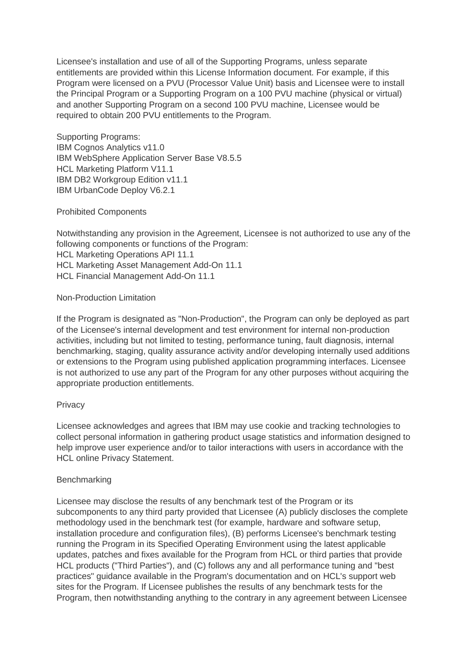Licensee's installation and use of all of the Supporting Programs, unless separate entitlements are provided within this License Information document. For example, if this Program were licensed on a PVU (Processor Value Unit) basis and Licensee were to install the Principal Program or a Supporting Program on a 100 PVU machine (physical or virtual) and another Supporting Program on a second 100 PVU machine, Licensee would be required to obtain 200 PVU entitlements to the Program.

Supporting Programs: IBM Cognos Analytics v11.0 IBM WebSphere Application Server Base V8.5.5 HCL Marketing Platform V11.1 IBM DB2 Workgroup Edition v11.1 IBM UrbanCode Deploy V6.2.1

Prohibited Components

Notwithstanding any provision in the Agreement, Licensee is not authorized to use any of the following components or functions of the Program:

HCL Marketing Operations API 11.1

HCL Marketing Asset Management Add-On 11.1

HCL Financial Management Add-On 11.1

Non-Production Limitation

If the Program is designated as "Non-Production", the Program can only be deployed as part of the Licensee's internal development and test environment for internal non-production activities, including but not limited to testing, performance tuning, fault diagnosis, internal benchmarking, staging, quality assurance activity and/or developing internally used additions or extensions to the Program using published application programming interfaces. Licensee is not authorized to use any part of the Program for any other purposes without acquiring the appropriate production entitlements.

### **Privacy**

Licensee acknowledges and agrees that IBM may use cookie and tracking technologies to collect personal information in gathering product usage statistics and information designed to help improve user experience and/or to tailor interactions with users in accordance with the HCL online Privacy Statement.

### **Benchmarking**

Licensee may disclose the results of any benchmark test of the Program or its subcomponents to any third party provided that Licensee (A) publicly discloses the complete methodology used in the benchmark test (for example, hardware and software setup, installation procedure and configuration files), (B) performs Licensee's benchmark testing running the Program in its Specified Operating Environment using the latest applicable updates, patches and fixes available for the Program from HCL or third parties that provide HCL products ("Third Parties"), and (C) follows any and all performance tuning and "best practices" guidance available in the Program's documentation and on HCL's support web sites for the Program. If Licensee publishes the results of any benchmark tests for the Program, then notwithstanding anything to the contrary in any agreement between Licensee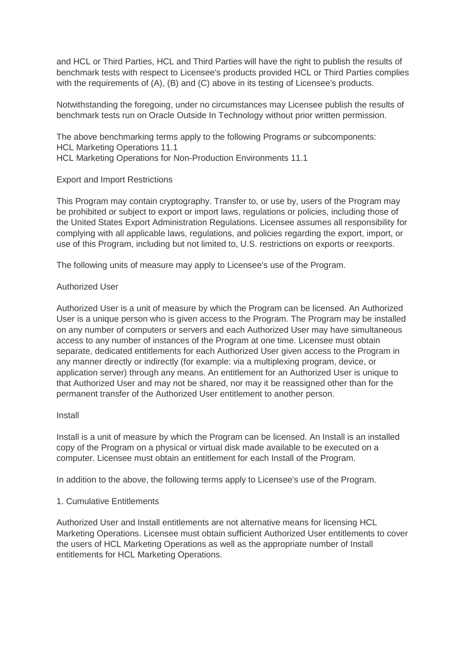and HCL or Third Parties, HCL and Third Parties will have the right to publish the results of benchmark tests with respect to Licensee's products provided HCL or Third Parties complies with the requirements of (A), (B) and (C) above in its testing of Licensee's products.

Notwithstanding the foregoing, under no circumstances may Licensee publish the results of benchmark tests run on Oracle Outside In Technology without prior written permission.

The above benchmarking terms apply to the following Programs or subcomponents: HCL Marketing Operations 11.1 HCL Marketing Operations for Non-Production Environments 11.1

## Export and Import Restrictions

This Program may contain cryptography. Transfer to, or use by, users of the Program may be prohibited or subject to export or import laws, regulations or policies, including those of the United States Export Administration Regulations. Licensee assumes all responsibility for complying with all applicable laws, regulations, and policies regarding the export, import, or use of this Program, including but not limited to, U.S. restrictions on exports or reexports.

The following units of measure may apply to Licensee's use of the Program.

## Authorized User

Authorized User is a unit of measure by which the Program can be licensed. An Authorized User is a unique person who is given access to the Program. The Program may be installed on any number of computers or servers and each Authorized User may have simultaneous access to any number of instances of the Program at one time. Licensee must obtain separate, dedicated entitlements for each Authorized User given access to the Program in any manner directly or indirectly (for example: via a multiplexing program, device, or application server) through any means. An entitlement for an Authorized User is unique to that Authorized User and may not be shared, nor may it be reassigned other than for the permanent transfer of the Authorized User entitlement to another person.

### Install

Install is a unit of measure by which the Program can be licensed. An Install is an installed copy of the Program on a physical or virtual disk made available to be executed on a computer. Licensee must obtain an entitlement for each Install of the Program.

In addition to the above, the following terms apply to Licensee's use of the Program.

# 1. Cumulative Entitlements

Authorized User and Install entitlements are not alternative means for licensing HCL Marketing Operations. Licensee must obtain sufficient Authorized User entitlements to cover the users of HCL Marketing Operations as well as the appropriate number of Install entitlements for HCL Marketing Operations.